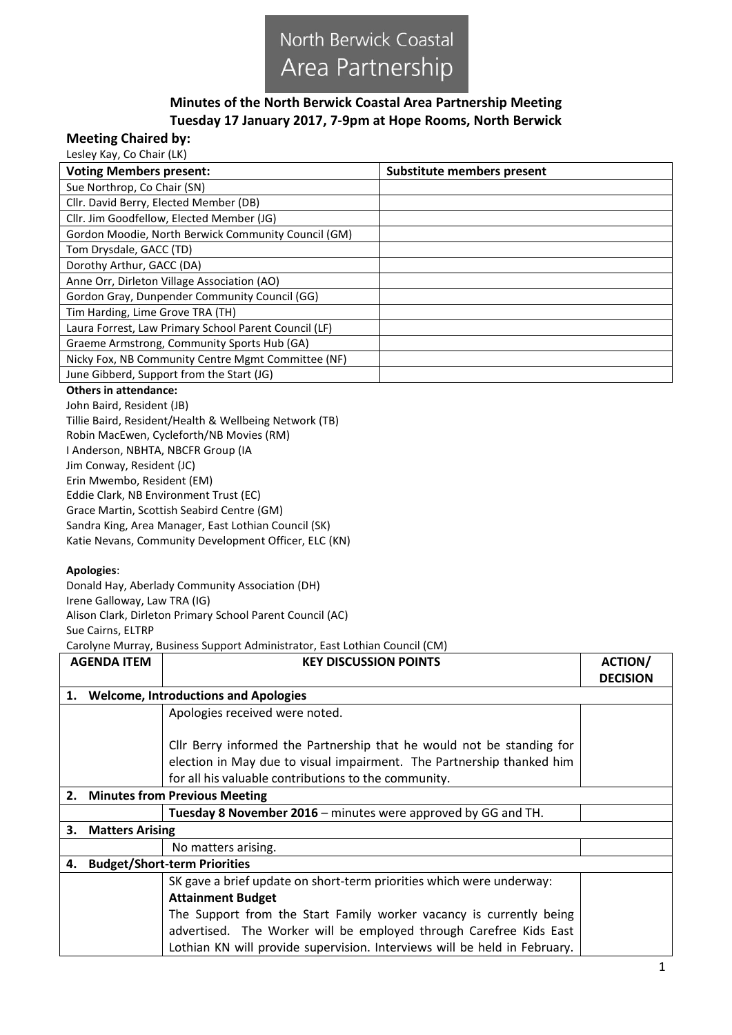

## **Minutes of the North Berwick Coastal Area Partnership Meeting Tuesday 17 January 2017, 7-9pm at Hope Rooms, North Berwick**

## **Meeting Chaired by:**

Lesley Kay, Co Chair (LK)

| <b>Voting Members present:</b>                        | Substitute members present |
|-------------------------------------------------------|----------------------------|
| Sue Northrop, Co Chair (SN)                           |                            |
| Cllr. David Berry, Elected Member (DB)                |                            |
| Cllr. Jim Goodfellow, Elected Member (JG)             |                            |
| Gordon Moodie, North Berwick Community Council (GM)   |                            |
| Tom Drysdale, GACC (TD)                               |                            |
| Dorothy Arthur, GACC (DA)                             |                            |
| Anne Orr, Dirleton Village Association (AO)           |                            |
| Gordon Gray, Dunpender Community Council (GG)         |                            |
| Tim Harding, Lime Grove TRA (TH)                      |                            |
| Laura Forrest, Law Primary School Parent Council (LF) |                            |
| Graeme Armstrong, Community Sports Hub (GA)           |                            |
| Nicky Fox, NB Community Centre Mgmt Committee (NF)    |                            |
| June Gibberd, Support from the Start (JG)             |                            |

## **Others in attendance:**

John Baird, Resident (JB) Tillie Baird, Resident/Health & Wellbeing Network (TB) Robin MacEwen, Cycleforth/NB Movies (RM) I Anderson, NBHTA, NBCFR Group (IA Jim Conway, Resident (JC) Erin Mwembo, Resident (EM) Eddie Clark, NB Environment Trust (EC) Grace Martin, Scottish Seabird Centre (GM) Sandra King, Area Manager, East Lothian Council (SK) Katie Nevans, Community Development Officer, ELC (KN)

## **Apologies**:

Donald Hay, Aberlady Community Association (DH) Irene Galloway, Law TRA (IG) Alison Clark, Dirleton Primary School Parent Council (AC) Sue Cairns, ELTRP Carolyne Murray, Business Support Administrator, East Lothian Council (CM)

**AGENDA ITEM AGENDA ITEM KEY DISCUSSION POINTS ACTION DECISION 1. Welcome, Introductions and Apologies** Apologies received were noted. Cllr Berry informed the Partnership that he would not be standing for election in May due to visual impairment. The Partnership thanked him for all his valuable contributions to the community. **2. Minutes from Previous Meeting Tuesday 8 November 2016** – minutes were approved by GG and TH. **3. Matters Arising** No matters arising. **4. Budget/Short-term Priorities** SK gave a brief update on short-term priorities which were underway: **Attainment Budget**  The Support from the Start Family worker vacancy is currently being advertised. The Worker will be employed through Carefree Kids East Lothian KN will provide supervision. Interviews will be held in February.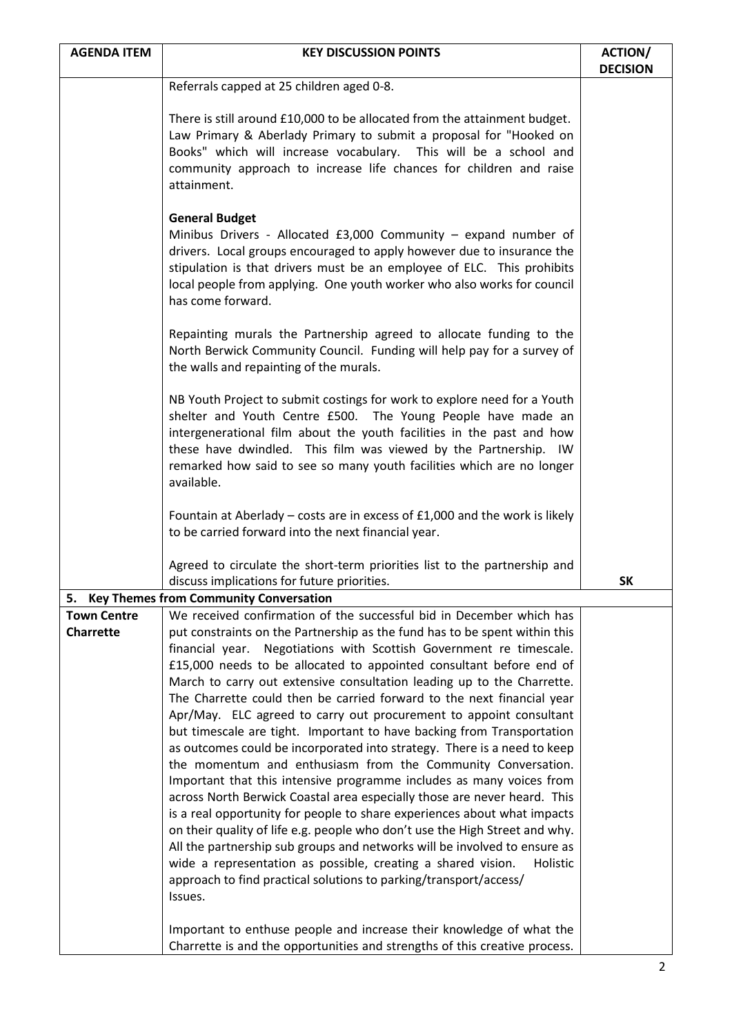| <b>AGENDA ITEM</b>                                                                                                                      | <b>KEY DISCUSSION POINTS</b>                                                                                                                                                                                                                                                                                                                                                                                                                                                                                                                                                                                                                                                                                                                                                                                                                                                                                                                                                                                                                                                                                                                                                                                                                                                                                | <b>ACTION/</b>  |
|-----------------------------------------------------------------------------------------------------------------------------------------|-------------------------------------------------------------------------------------------------------------------------------------------------------------------------------------------------------------------------------------------------------------------------------------------------------------------------------------------------------------------------------------------------------------------------------------------------------------------------------------------------------------------------------------------------------------------------------------------------------------------------------------------------------------------------------------------------------------------------------------------------------------------------------------------------------------------------------------------------------------------------------------------------------------------------------------------------------------------------------------------------------------------------------------------------------------------------------------------------------------------------------------------------------------------------------------------------------------------------------------------------------------------------------------------------------------|-----------------|
|                                                                                                                                         | Referrals capped at 25 children aged 0-8.                                                                                                                                                                                                                                                                                                                                                                                                                                                                                                                                                                                                                                                                                                                                                                                                                                                                                                                                                                                                                                                                                                                                                                                                                                                                   | <b>DECISION</b> |
|                                                                                                                                         |                                                                                                                                                                                                                                                                                                                                                                                                                                                                                                                                                                                                                                                                                                                                                                                                                                                                                                                                                                                                                                                                                                                                                                                                                                                                                                             |                 |
|                                                                                                                                         | There is still around £10,000 to be allocated from the attainment budget.<br>Law Primary & Aberlady Primary to submit a proposal for "Hooked on<br>Books" which will increase vocabulary. This will be a school and<br>community approach to increase life chances for children and raise<br>attainment.                                                                                                                                                                                                                                                                                                                                                                                                                                                                                                                                                                                                                                                                                                                                                                                                                                                                                                                                                                                                    |                 |
|                                                                                                                                         | <b>General Budget</b><br>Minibus Drivers - Allocated £3,000 Community $-$ expand number of<br>drivers. Local groups encouraged to apply however due to insurance the<br>stipulation is that drivers must be an employee of ELC. This prohibits<br>local people from applying. One youth worker who also works for council<br>has come forward.                                                                                                                                                                                                                                                                                                                                                                                                                                                                                                                                                                                                                                                                                                                                                                                                                                                                                                                                                              |                 |
|                                                                                                                                         | Repainting murals the Partnership agreed to allocate funding to the<br>North Berwick Community Council. Funding will help pay for a survey of<br>the walls and repainting of the murals.                                                                                                                                                                                                                                                                                                                                                                                                                                                                                                                                                                                                                                                                                                                                                                                                                                                                                                                                                                                                                                                                                                                    |                 |
|                                                                                                                                         | NB Youth Project to submit costings for work to explore need for a Youth<br>shelter and Youth Centre £500. The Young People have made an<br>intergenerational film about the youth facilities in the past and how<br>these have dwindled. This film was viewed by the Partnership. IW<br>remarked how said to see so many youth facilities which are no longer<br>available.                                                                                                                                                                                                                                                                                                                                                                                                                                                                                                                                                                                                                                                                                                                                                                                                                                                                                                                                |                 |
|                                                                                                                                         | Fountain at Aberlady - costs are in excess of £1,000 and the work is likely<br>to be carried forward into the next financial year.                                                                                                                                                                                                                                                                                                                                                                                                                                                                                                                                                                                                                                                                                                                                                                                                                                                                                                                                                                                                                                                                                                                                                                          |                 |
|                                                                                                                                         | Agreed to circulate the short-term priorities list to the partnership and<br>discuss implications for future priorities.                                                                                                                                                                                                                                                                                                                                                                                                                                                                                                                                                                                                                                                                                                                                                                                                                                                                                                                                                                                                                                                                                                                                                                                    | <b>SK</b>       |
|                                                                                                                                         |                                                                                                                                                                                                                                                                                                                                                                                                                                                                                                                                                                                                                                                                                                                                                                                                                                                                                                                                                                                                                                                                                                                                                                                                                                                                                                             |                 |
| 5. Key Themes from Community Conversation<br>We received confirmation of the successful bid in December which has<br><b>Town Centre</b> |                                                                                                                                                                                                                                                                                                                                                                                                                                                                                                                                                                                                                                                                                                                                                                                                                                                                                                                                                                                                                                                                                                                                                                                                                                                                                                             |                 |
| <b>Charrette</b>                                                                                                                        | put constraints on the Partnership as the fund has to be spent within this<br>financial year.<br>Negotiations with Scottish Government re timescale.<br>£15,000 needs to be allocated to appointed consultant before end of<br>March to carry out extensive consultation leading up to the Charrette.<br>The Charrette could then be carried forward to the next financial year<br>Apr/May. ELC agreed to carry out procurement to appoint consultant<br>but timescale are tight. Important to have backing from Transportation<br>as outcomes could be incorporated into strategy. There is a need to keep<br>the momentum and enthusiasm from the Community Conversation.<br>Important that this intensive programme includes as many voices from<br>across North Berwick Coastal area especially those are never heard. This<br>is a real opportunity for people to share experiences about what impacts<br>on their quality of life e.g. people who don't use the High Street and why.<br>All the partnership sub groups and networks will be involved to ensure as<br>wide a representation as possible, creating a shared vision.<br>Holistic<br>approach to find practical solutions to parking/transport/access/<br>Issues.<br>Important to enthuse people and increase their knowledge of what the |                 |
|                                                                                                                                         | Charrette is and the opportunities and strengths of this creative process.                                                                                                                                                                                                                                                                                                                                                                                                                                                                                                                                                                                                                                                                                                                                                                                                                                                                                                                                                                                                                                                                                                                                                                                                                                  |                 |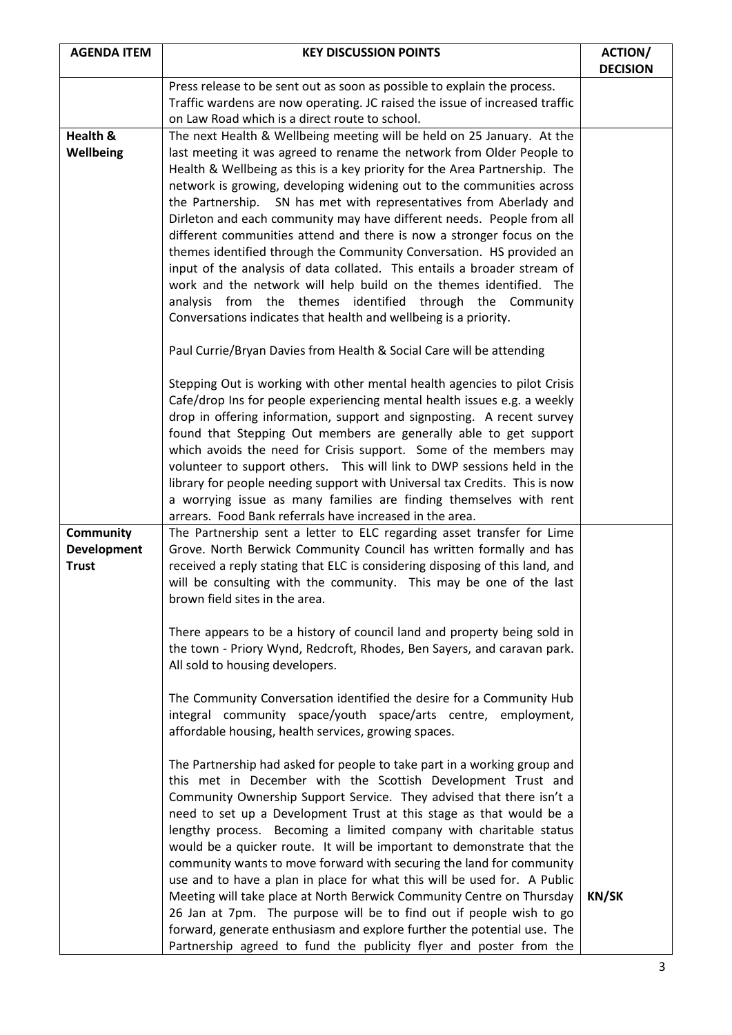| <b>AGENDA ITEM</b>                              | <b>KEY DISCUSSION POINTS</b>                                                                                                                                                                                                                                                                                                                                                                                                                                                                                                                                                                                                                                                                                                                                                                                                                                                                                                                                                                                                                   | <b>ACTION/</b><br><b>DECISION</b> |
|-------------------------------------------------|------------------------------------------------------------------------------------------------------------------------------------------------------------------------------------------------------------------------------------------------------------------------------------------------------------------------------------------------------------------------------------------------------------------------------------------------------------------------------------------------------------------------------------------------------------------------------------------------------------------------------------------------------------------------------------------------------------------------------------------------------------------------------------------------------------------------------------------------------------------------------------------------------------------------------------------------------------------------------------------------------------------------------------------------|-----------------------------------|
|                                                 | Press release to be sent out as soon as possible to explain the process.<br>Traffic wardens are now operating. JC raised the issue of increased traffic<br>on Law Road which is a direct route to school.                                                                                                                                                                                                                                                                                                                                                                                                                                                                                                                                                                                                                                                                                                                                                                                                                                      |                                   |
| Health &<br><b>Wellbeing</b>                    | The next Health & Wellbeing meeting will be held on 25 January. At the<br>last meeting it was agreed to rename the network from Older People to<br>Health & Wellbeing as this is a key priority for the Area Partnership. The<br>network is growing, developing widening out to the communities across<br>the Partnership. SN has met with representatives from Aberlady and<br>Dirleton and each community may have different needs. People from all<br>different communities attend and there is now a stronger focus on the<br>themes identified through the Community Conversation. HS provided an<br>input of the analysis of data collated. This entails a broader stream of<br>work and the network will help build on the themes identified. The<br>analysis from the themes identified through the Community<br>Conversations indicates that health and wellbeing is a priority.<br>Paul Currie/Bryan Davies from Health & Social Care will be attending<br>Stepping Out is working with other mental health agencies to pilot Crisis |                                   |
|                                                 | Cafe/drop Ins for people experiencing mental health issues e.g. a weekly<br>drop in offering information, support and signposting. A recent survey<br>found that Stepping Out members are generally able to get support<br>which avoids the need for Crisis support. Some of the members may<br>volunteer to support others.  This will link to DWP sessions held in the<br>library for people needing support with Universal tax Credits. This is now<br>a worrying issue as many families are finding themselves with rent<br>arrears. Food Bank referrals have increased in the area.                                                                                                                                                                                                                                                                                                                                                                                                                                                       |                                   |
| Community<br><b>Development</b><br><b>Trust</b> | The Partnership sent a letter to ELC regarding asset transfer for Lime<br>Grove. North Berwick Community Council has written formally and has<br>received a reply stating that ELC is considering disposing of this land, and<br>will be consulting with the community. This may be one of the last<br>brown field sites in the area.                                                                                                                                                                                                                                                                                                                                                                                                                                                                                                                                                                                                                                                                                                          |                                   |
|                                                 | There appears to be a history of council land and property being sold in<br>the town - Priory Wynd, Redcroft, Rhodes, Ben Sayers, and caravan park.<br>All sold to housing developers.                                                                                                                                                                                                                                                                                                                                                                                                                                                                                                                                                                                                                                                                                                                                                                                                                                                         |                                   |
|                                                 | The Community Conversation identified the desire for a Community Hub<br>integral community space/youth space/arts centre, employment,<br>affordable housing, health services, growing spaces.                                                                                                                                                                                                                                                                                                                                                                                                                                                                                                                                                                                                                                                                                                                                                                                                                                                  |                                   |
|                                                 | The Partnership had asked for people to take part in a working group and<br>this met in December with the Scottish Development Trust and<br>Community Ownership Support Service. They advised that there isn't a<br>need to set up a Development Trust at this stage as that would be a<br>lengthy process. Becoming a limited company with charitable status<br>would be a quicker route. It will be important to demonstrate that the<br>community wants to move forward with securing the land for community<br>use and to have a plan in place for what this will be used for. A Public<br>Meeting will take place at North Berwick Community Centre on Thursday<br>26 Jan at 7pm. The purpose will be to find out if people wish to go<br>forward, generate enthusiasm and explore further the potential use. The                                                                                                                                                                                                                         | <b>KN/SK</b>                      |
|                                                 | Partnership agreed to fund the publicity flyer and poster from the                                                                                                                                                                                                                                                                                                                                                                                                                                                                                                                                                                                                                                                                                                                                                                                                                                                                                                                                                                             |                                   |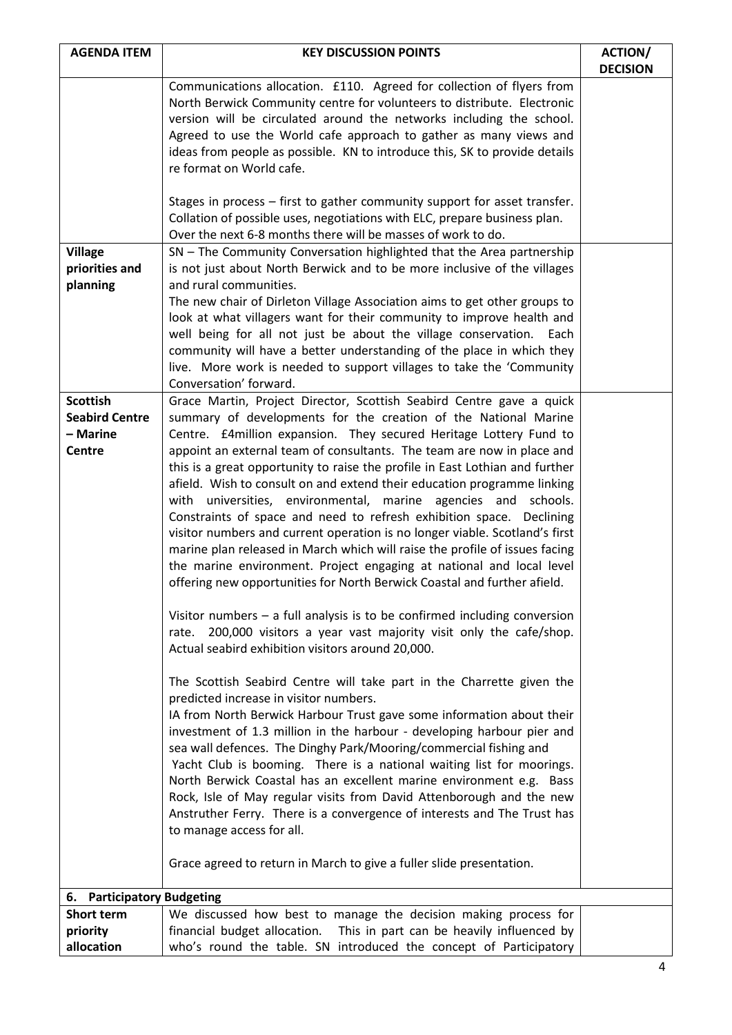| <b>AGENDA ITEM</b>    | <b>KEY DISCUSSION POINTS</b>                                                                                                                                                                                           | <b>ACTION/</b>  |  |
|-----------------------|------------------------------------------------------------------------------------------------------------------------------------------------------------------------------------------------------------------------|-----------------|--|
|                       |                                                                                                                                                                                                                        | <b>DECISION</b> |  |
|                       | Communications allocation. £110. Agreed for collection of flyers from                                                                                                                                                  |                 |  |
|                       | North Berwick Community centre for volunteers to distribute. Electronic<br>version will be circulated around the networks including the school.                                                                        |                 |  |
|                       | Agreed to use the World cafe approach to gather as many views and                                                                                                                                                      |                 |  |
|                       | ideas from people as possible. KN to introduce this, SK to provide details                                                                                                                                             |                 |  |
|                       | re format on World cafe.                                                                                                                                                                                               |                 |  |
|                       |                                                                                                                                                                                                                        |                 |  |
|                       | Stages in process – first to gather community support for asset transfer.<br>Collation of possible uses, negotiations with ELC, prepare business plan.<br>Over the next 6-8 months there will be masses of work to do. |                 |  |
| <b>Village</b>        | SN - The Community Conversation highlighted that the Area partnership                                                                                                                                                  |                 |  |
| priorities and        | is not just about North Berwick and to be more inclusive of the villages                                                                                                                                               |                 |  |
| planning              | and rural communities.                                                                                                                                                                                                 |                 |  |
|                       | The new chair of Dirleton Village Association aims to get other groups to                                                                                                                                              |                 |  |
|                       | look at what villagers want for their community to improve health and                                                                                                                                                  |                 |  |
|                       | well being for all not just be about the village conservation.<br>Each                                                                                                                                                 |                 |  |
|                       | community will have a better understanding of the place in which they                                                                                                                                                  |                 |  |
|                       | live. More work is needed to support villages to take the 'Community<br>Conversation' forward.                                                                                                                         |                 |  |
| <b>Scottish</b>       | Grace Martin, Project Director, Scottish Seabird Centre gave a quick                                                                                                                                                   |                 |  |
| <b>Seabird Centre</b> | summary of developments for the creation of the National Marine                                                                                                                                                        |                 |  |
| – Marine              | Centre. £4 million expansion. They secured Heritage Lottery Fund to                                                                                                                                                    |                 |  |
| Centre                | appoint an external team of consultants. The team are now in place and                                                                                                                                                 |                 |  |
|                       | this is a great opportunity to raise the profile in East Lothian and further                                                                                                                                           |                 |  |
|                       | afield. Wish to consult on and extend their education programme linking                                                                                                                                                |                 |  |
|                       | with universities, environmental, marine agencies and schools.                                                                                                                                                         |                 |  |
|                       | Constraints of space and need to refresh exhibition space. Declining                                                                                                                                                   |                 |  |
|                       | visitor numbers and current operation is no longer viable. Scotland's first                                                                                                                                            |                 |  |
|                       | marine plan released in March which will raise the profile of issues facing                                                                                                                                            |                 |  |
|                       | the marine environment. Project engaging at national and local level                                                                                                                                                   |                 |  |
|                       | offering new opportunities for North Berwick Coastal and further afield.                                                                                                                                               |                 |  |
|                       | Visitor numbers $-$ a full analysis is to be confirmed including conversion                                                                                                                                            |                 |  |
|                       | 200,000 visitors a year vast majority visit only the cafe/shop.<br>rate.                                                                                                                                               |                 |  |
|                       | Actual seabird exhibition visitors around 20,000.                                                                                                                                                                      |                 |  |
|                       | The Scottish Seabird Centre will take part in the Charrette given the                                                                                                                                                  |                 |  |
|                       | predicted increase in visitor numbers.                                                                                                                                                                                 |                 |  |
|                       | IA from North Berwick Harbour Trust gave some information about their                                                                                                                                                  |                 |  |
|                       | investment of 1.3 million in the harbour - developing harbour pier and                                                                                                                                                 |                 |  |
|                       | sea wall defences. The Dinghy Park/Mooring/commercial fishing and                                                                                                                                                      |                 |  |
|                       | Yacht Club is booming. There is a national waiting list for moorings.                                                                                                                                                  |                 |  |
|                       | North Berwick Coastal has an excellent marine environment e.g. Bass                                                                                                                                                    |                 |  |
|                       | Rock, Isle of May regular visits from David Attenborough and the new                                                                                                                                                   |                 |  |
|                       | Anstruther Ferry. There is a convergence of interests and The Trust has                                                                                                                                                |                 |  |
|                       | to manage access for all.                                                                                                                                                                                              |                 |  |
|                       | Grace agreed to return in March to give a fuller slide presentation.                                                                                                                                                   |                 |  |
|                       |                                                                                                                                                                                                                        |                 |  |
|                       | 6. Participatory Budgeting                                                                                                                                                                                             |                 |  |
| Short term            | We discussed how best to manage the decision making process for                                                                                                                                                        |                 |  |
| priority              | financial budget allocation. This in part can be heavily influenced by                                                                                                                                                 |                 |  |
| allocation            | who's round the table. SN introduced the concept of Participatory                                                                                                                                                      |                 |  |